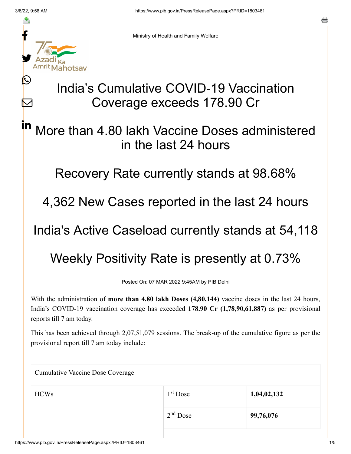≛

Ŀ

 $\bm{\nabla}$ 

Ministry of Health and Family Welfare

## India's Cumulative COVID-19 Vaccination Coverage exceeds 178.90 Cr

More than 4.80 lakh Vaccine Doses administered in the last 24 hours in

Recovery Rate currently stands at 98.68%

4,362 New Cases reported in the last 24 hours

India's Active Caseload currently stands at 54,118

Weekly Positivity Rate is presently at 0.73%

Posted On: 07 MAR 2022 9:45AM by PIB Delhi

With the administration of **more than 4.80 lakh Doses (4,80,144)** vaccine doses in the last 24 hours, India's COVID-19 vaccination coverage has exceeded **178.90 Cr (1,78,90,61,887)** as per provisional reports till 7 am today.

This has been achieved through 2,07,51,079 sessions. The break-up of the cumulative figure as per the provisional report till 7 am today include:

| <b>Cumulative Vaccine Dose Coverage</b> |            |             |  |
|-----------------------------------------|------------|-------------|--|
| <b>HCWs</b>                             | $1st$ Dose | 1,04,02,132 |  |
|                                         | $2nd$ Dose | 99,76,076   |  |

a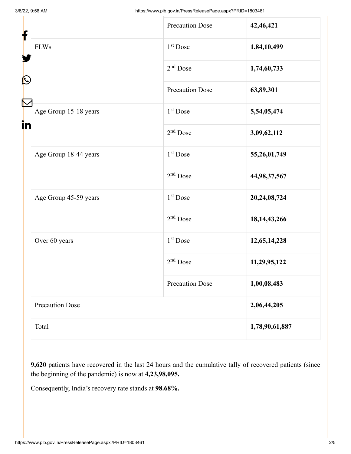| f<br>$\mathbf{\Omega}$<br>in |                        | <b>Precaution Dose</b> | 42,46,421       |
|------------------------------|------------------------|------------------------|-----------------|
|                              | <b>FLWs</b>            | $1st$ Dose             | 1,84,10,499     |
|                              |                        | $2nd$ Dose             | 1,74,60,733     |
|                              |                        | <b>Precaution Dose</b> | 63,89,301       |
|                              | Age Group 15-18 years  | $1st$ Dose             | 5,54,05,474     |
|                              |                        | $2nd$ Dose             | 3,09,62,112     |
|                              | Age Group 18-44 years  | $1st$ Dose             | 55,26,01,749    |
|                              |                        | $2nd$ Dose             | 44,98,37,567    |
|                              | Age Group 45-59 years  | $1st$ Dose             | 20,24,08,724    |
|                              |                        | $2nd$ Dose             | 18, 14, 43, 266 |
|                              | Over 60 years          | $1st$ Dose             | 12,65,14,228    |
|                              |                        | $2nd$ Dose             | 11,29,95,122    |
|                              |                        | <b>Precaution Dose</b> | 1,00,08,483     |
|                              | <b>Precaution Dose</b> |                        | 2,06,44,205     |
|                              | Total                  |                        | 1,78,90,61,887  |

**9,620** patients have recovered in the last 24 hours and the cumulative tally of recovered patients (since the beginning of the pandemic) is now at **4,23,98,095.**

Consequently, India's recovery rate stands at **98.68%.**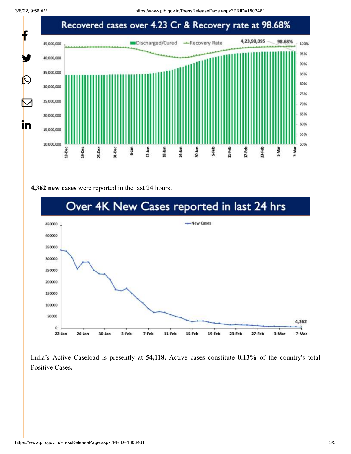

## **4,362 new cases** were reported in the last 24 hours.



India's Active Caseload is presently at **54,118.** Active cases constitute **0.13%** of the country's total Positive Cases**.**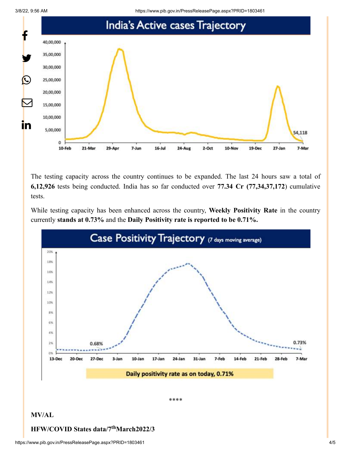3/8/22, 9:56 AM https://www.pib.gov.in/PressReleasePage.aspx?PRID=1803461



The testing capacity across the country continues to be expanded. The last 24 hours saw a total of **6,12,926** tests being conducted. India has so far conducted over **77.34 Cr (77,34,37,172**) cumulative tests.

While testing capacity has been enhanced across the country, **Weekly Positivity Rate** in the country currently **stands at 0.73%** and the **Daily Positivity rate is reported to be 0.71%.**